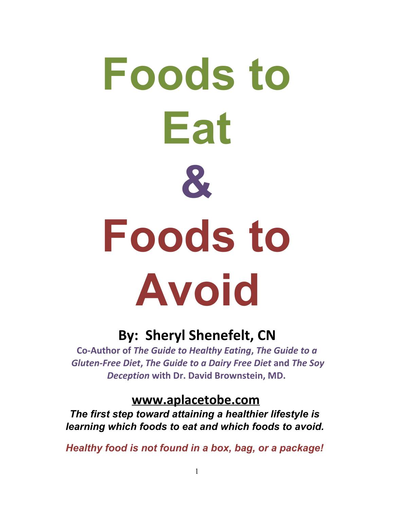

# **By: Sheryl Shenefelt, CN**

**Co-Author of** *The Guide to Healthy Eating***,** *The Guide to a Gluten-Free Diet***,** *The Guide to a Dairy Free Diet* **and** *The Soy Deception* **with Dr. David Brownstein, MD.**

# **[www.aplacetobe.com](http://www.google.com/url?q=http%3A%2F%2Fwww.aplacetobe.com&sa=D&sntz=1&usg=AFQjCNFzUQbwCsO27tFf3E5jM7Z0onOQoQ)**

*The first step toward attaining a healthier lifestyle is learning which foods to eat and which foods to avoid.*

*Healthy food is not found in a box, bag, or a package!*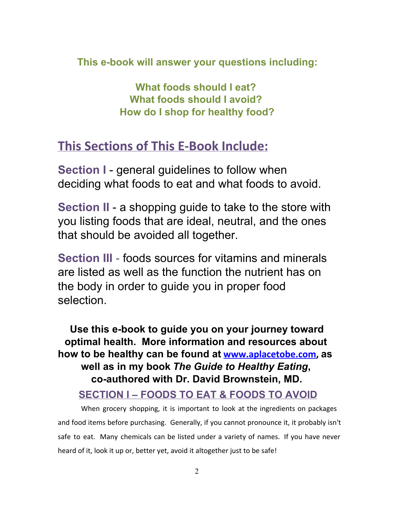**This ebook will answer your questions including:**

**What foods should I eat? What foods should I avoid? How do I shop for healthy food?**

# **This Sections of This E-Book Include:**

**Section I** - general guidelines to follow when deciding what foods to eat and what foods to avoid.

**Section II** - a shopping guide to take to the store with you listing foods that are ideal, neutral, and the ones that should be avoided all together.

**Section III** - foods sources for vitamins and minerals are listed as well as the function the nutrient has on the body in order to guide you in proper food selection.

**Use this ebook to guide you on your journey toward optimal health. More information and resources about how to be healthy can be found at [www.aplacetobe.com,](http://www.google.com/url?q=http%3A%2F%2Fwww.aplacetobe.com&sa=D&sntz=1&usg=AFQjCNFzUQbwCsO27tFf3E5jM7Z0onOQoQ) as well as in my book** *The Guide to Healthy Eating***, coauthored with Dr. David Brownstein, MD.**

# **SECTION I – FOODS TO EAT & FOODS TO AVOID**

When grocery shopping, it is important to look at the ingredients on packages and food items before purchasing. Generally, if you cannot pronounce it, it probably isn't safe to eat. Many chemicals can be listed under a variety of names. If you have never heard of it, look it up or, better yet, avoid it altogether just to be safe!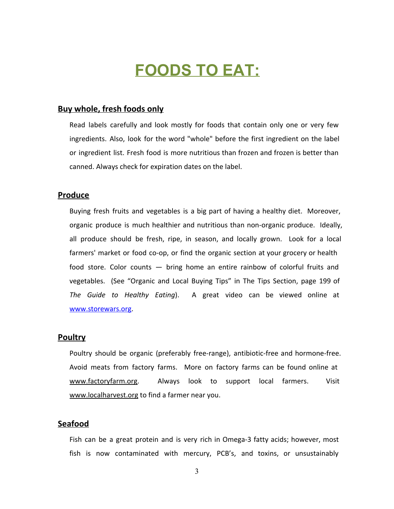# **FOODS TO EAT:**

#### **Buy whole, fresh foods only**

Read labels carefully and look mostly for foods that contain only one or very few ingredients. Also, look for the word "whole" before the first ingredient on the label or ingredient list. Fresh food is more nutritious than frozen and frozen is better than canned. Always check for expiration dates on the label.

#### **Produce**

Buying fresh fruits and vegetables is a big part of having a healthy diet. Moreover, organic produce is much healthier and nutritious than non-organic produce. Ideally, all produce should be fresh, ripe, in season, and locally grown. Look for a local farmers' market or food co-op, or find the organic section at your grocery or health food store. Color counts — bring home an entire rainbow of colorful fruits and vegetables. (See "Organic and Local Buying Tips" in The Tips Section, page 199 of *The Guide to Healthy Eating*). A great video can be viewed online at [www.storewars.org.](http://www.google.com/url?q=http%3A%2F%2Fwww.storewars.com&sa=D&sntz=1&usg=AFQjCNHFKsWTTMr9RCgHrL6m2yAg8-Tz7A)

#### **Poultry**

Poultry should be organic (preferably free-range), antibiotic-free and hormone-free. Avoid meats from factory farms. More on factory farms can be found online at www.factoryfarm.org. Always look to support local farmers. Visit www.localharvest.org to find a farmer near you.

#### **Seafood**

Fish can be a great protein and is very rich in Omega-3 fatty acids; however, most fish is now contaminated with mercury, PCB's, and toxins, or unsustainably

3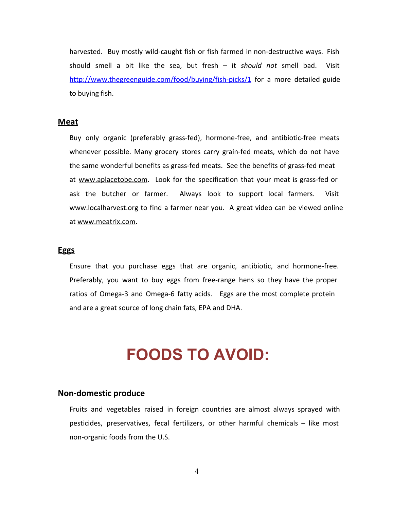harvested. Buy mostly wild-caught fish or fish farmed in non-destructive ways. Fish should smell a bit like the sea, but fresh – it *should not* smell bad. Visit [http://www.thegreenguide.com/food/buying/fish-picks/1](http://www.google.com/url?q=http%3A%2F%2Fwww.thegreenguide.com%2Ffood%2Fbuying%2Ffish-picks%2F1&sa=D&sntz=1&usg=AFQjCNEFJ99pv9aTm99O_HBQxnTTWtfxDw) for a more detailed guide to buying fish.

#### **Meat**

Buy only organic (preferably grass-fed), hormone-free, and antibiotic-free meats whenever possible. Many grocery stores carry grain-fed meats, which do not have the same wonderful benefits as grass-fed meats. See the benefits of grass-fed meat at www.aplacetobe.com. Look for the specification that your meat is grass-fed or ask the butcher or farmer. Always look to support local farmers. Visit www.localharvest.org to find a farmer near you. A great video can be viewed online at www.meatrix.com.

#### **Eggs**

Ensure that you purchase eggs that are organic, antibiotic, and hormone-free. Preferably, you want to buy eggs from free-range hens so they have the proper ratios of Omega-3 and Omega-6 fatty acids. Eggs are the most complete protein and are a great source of long chain fats, EPA and DHA.

# **FOODS TO AVOID:**

#### **Non-domestic produce**

Fruits and vegetables raised in foreign countries are almost always sprayed with pesticides, preservatives, fecal fertilizers, or other harmful chemicals – like most non-organic foods from the U.S.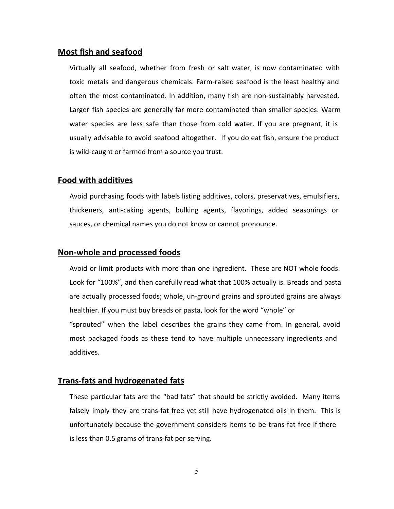#### **Most fish and seafood**

Virtually all seafood, whether from fresh or salt water, is now contaminated with toxic metals and dangerous chemicals. Farm-raised seafood is the least healthy and often the most contaminated. In addition, many fish are non-sustainably harvested. Larger fish species are generally far more contaminated than smaller species. Warm water species are less safe than those from cold water. If you are pregnant, it is usually advisable to avoid seafood altogether. If you do eat fish, ensure the product is wild-caught or farmed from a source you trust.

#### **Food with additives**

Avoid purchasing foods with labels listing additives, colors, preservatives, emulsifiers, thickeners, anti-caking agents, bulking agents, flavorings, added seasonings or sauces, or chemical names you do not know or cannot pronounce.

# **Non-whole and processed foods**

Avoid or limit products with more than one ingredient. These are NOT whole foods. Look for "100%", and then carefully read what that 100% actually is. Breads and pasta are actually processed foods; whole, un-ground grains and sprouted grains are always healthier. If you must buy breads or pasta, look for the word "whole" or "sprouted" when the label describes the grains they came from. In general, avoid most packaged foods as these tend to have multiple unnecessary ingredients and additives.

#### **Trans-fats and hydrogenated fats**

These particular fats are the "bad fats" that should be strictly avoided. Many items falsely imply they are trans-fat free yet still have hydrogenated oils in them. This is unfortunately because the government considers items to be trans-fat free if there is less than 0.5 grams of trans-fat per serving.

5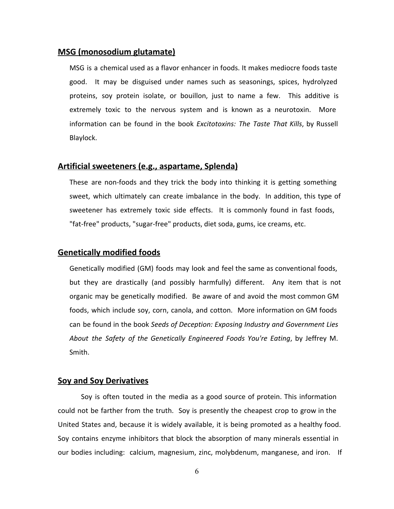#### **MSG (monosodium glutamate)**

MSG is a chemical used as a flavor enhancer in foods. It makes mediocre foods taste good. It may be disguised under names such as seasonings, spices, hydrolyzed proteins, soy protein isolate, or bouillon, just to name a few. This additive is extremely toxic to the nervous system and is known as a neurotoxin. More information can be found in the book *Excitotoxins: The Taste That Kills*, by Russell Blaylock.

#### **Artificial sweeteners (e.g., aspartame, Splenda)**

These are non-foods and they trick the body into thinking it is getting something sweet, which ultimately can create imbalance in the body. In addition, this type of sweetener has extremely toxic side effects. It is commonly found in fast foods, "fat-free" products, "sugar-free" products, diet soda, gums, ice creams, etc.

### **Genetically modified foods**

Genetically modified (GM) foods may look and feel the same as conventional foods, but they are drastically (and possibly harmfully) different. Any item that is not organic may be genetically modified. Be aware of and avoid the most common GM foods, which include soy, corn, canola, and cotton. More information on GM foods can be found in the book *Seeds of Deception: Exposing Industry and Government Lies About the Safety of the Genetically Engineered Foods You're Eating*, by Jeffrey M. Smith.

#### **Soy and Soy Derivatives**

Soy is often touted in the media as a good source of protein. This information could not be farther from the truth. Soy is presently the cheapest crop to grow in the United States and, because it is widely available, it is being promoted as a healthy food. Soy contains enzyme inhibitors that block the absorption of many minerals essential in our bodies including: calcium, magnesium, zinc, molybdenum, manganese, and iron. If

6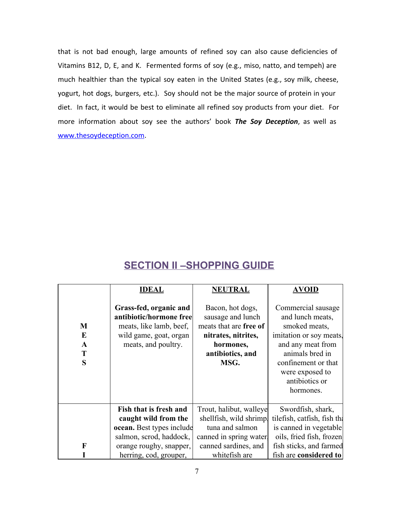that is not bad enough, large amounts of refined soy can also cause deficiencies of Vitamins B12, D, E, and K. Fermented forms of soy (e.g., miso, natto, and tempeh) are much healthier than the typical soy eaten in the United States (e.g., soy milk, cheese, yogurt, hot dogs, burgers, etc.). Soy should not be the major source of protein in your diet. In fact, it would be best to eliminate all refined soy products from your diet. For more information about soy see the authors' book *The Soy Deception*, as well as [www.thesoydeception.com.](http://www.google.com/url?q=http%3A%2F%2Fwww.thesoydeception.com&sa=D&sntz=1&usg=AFQjCNFj3-eHrB2npmlZEvGydZgxFDgA2w)

# **SECTION II –SHOPPING GUIDE**

|                                  | <b>IDEAL</b>                                                                                                                  | <b>NEUTRAL</b>                                                                                                                  | <b>AVOID</b>                                                                                                                                                                                        |
|----------------------------------|-------------------------------------------------------------------------------------------------------------------------------|---------------------------------------------------------------------------------------------------------------------------------|-----------------------------------------------------------------------------------------------------------------------------------------------------------------------------------------------------|
| M<br>E<br>$\mathbf{A}$<br>T<br>S | Grass-fed, organic and<br>antibiotic/hormone free<br>meats, like lamb, beef,<br>wild game, goat, organ<br>meats, and poultry. | Bacon, hot dogs,<br>sausage and lunch<br>meats that are free of<br>nitrates, nitrites,<br>hormones,<br>antibiotics, and<br>MSG. | Commercial sausage<br>and lunch meats,<br>smoked meats,<br>imitation or soy meats.<br>and any meat from<br>animals bred in<br>confinement or that<br>were exposed to<br>antibiotics or<br>hormones. |
|                                  | Fish that is fresh and                                                                                                        | Trout, halibut, walleye                                                                                                         | Swordfish, shark,                                                                                                                                                                                   |
|                                  | caught wild from the<br>ocean. Best types include                                                                             | shellfish, wild shrimp.<br>tuna and salmon                                                                                      | tilefish, catfish, fish that<br>is canned in vegetable                                                                                                                                              |
|                                  | salmon, scrod, haddock,                                                                                                       | canned in spring water.                                                                                                         | oils, fried fish, frozen                                                                                                                                                                            |
| F                                | orange roughy, snapper,                                                                                                       | canned sardines, and                                                                                                            | fish sticks, and farmed                                                                                                                                                                             |
|                                  | herring, cod, grouper,                                                                                                        | whitefish are                                                                                                                   | fish are considered to                                                                                                                                                                              |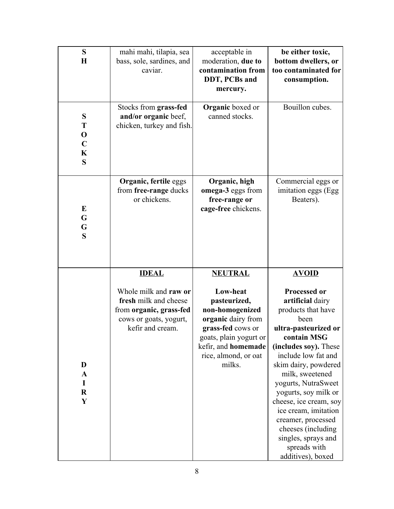| S<br>H                                                   | mahi mahi, tilapia, sea<br>bass, sole, sardines, and<br>caviar.                                                         | acceptable in<br>moderation, due to<br>contamination from<br>DDT, PCBs and<br>mercury.                                                                                    | be either toxic,<br>bottom dwellers, or<br>too contaminated for<br>consumption.                                                                                                                                                                                                                                                                                                                           |
|----------------------------------------------------------|-------------------------------------------------------------------------------------------------------------------------|---------------------------------------------------------------------------------------------------------------------------------------------------------------------------|-----------------------------------------------------------------------------------------------------------------------------------------------------------------------------------------------------------------------------------------------------------------------------------------------------------------------------------------------------------------------------------------------------------|
| S<br>T<br>$\mathbf 0$<br>$\mathbf C$<br>$\mathbf K$<br>S | Stocks from grass-fed<br>and/or organic beef,<br>chicken, turkey and fish.                                              | <b>Organic</b> boxed or<br>canned stocks.                                                                                                                                 | Bouillon cubes.                                                                                                                                                                                                                                                                                                                                                                                           |
| $\bf{E}$<br>G<br>G<br>S                                  | Organic, fertile eggs<br>from free-range ducks<br>or chickens.                                                          | Organic, high<br>omega-3 eggs from<br>free-range or<br>cage-free chickens.                                                                                                | Commercial eggs or<br>imitation eggs (Egg<br>Beaters).                                                                                                                                                                                                                                                                                                                                                    |
|                                                          | <b>IDEAL</b>                                                                                                            | <b>NEUTRAL</b>                                                                                                                                                            | <b>AVOID</b>                                                                                                                                                                                                                                                                                                                                                                                              |
| D<br>$\mathbf A$<br>I<br>$\bf R$<br>Y                    | Whole milk and raw or<br>fresh milk and cheese<br>from organic, grass-fed<br>cows or goats, yogurt,<br>kefir and cream. | Low-heat<br>pasteurized,<br>non-homogenized<br>organic dairy from<br>grass-fed cows or<br>goats, plain yogurt or<br>kefir, and homemade<br>rice, almond, or oat<br>milks. | Processed or<br>artificial dairy<br>products that have<br>been<br>ultra-pasteurized or<br>contain MSG<br>(includes soy). These<br>include low fat and<br>skim dairy, powdered<br>milk, sweetened<br>yogurts, NutraSweet<br>yogurts, soy milk or<br>cheese, ice cream, soy<br>ice cream, imitation<br>creamer, processed<br>cheeses (including<br>singles, sprays and<br>spreads with<br>additives), boxed |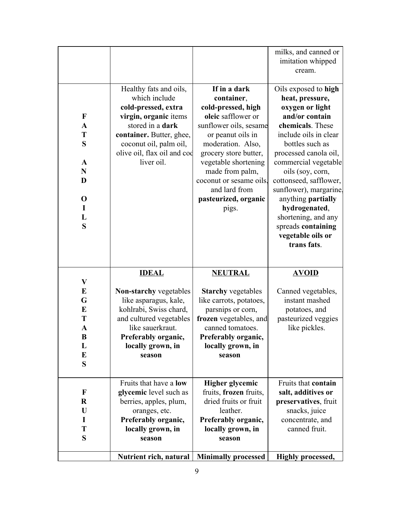|                                                                                             | locally grown, in                                                                                                                                                                                              | locally grown, in                                                                                                                                                                                                                                                                           | canned fruit.                                                                                                                                                                                                                                                                                                                                                                                                                                        |
|---------------------------------------------------------------------------------------------|----------------------------------------------------------------------------------------------------------------------------------------------------------------------------------------------------------------|---------------------------------------------------------------------------------------------------------------------------------------------------------------------------------------------------------------------------------------------------------------------------------------------|------------------------------------------------------------------------------------------------------------------------------------------------------------------------------------------------------------------------------------------------------------------------------------------------------------------------------------------------------------------------------------------------------------------------------------------------------|
| U<br>I<br>T                                                                                 | oranges, etc.<br>Preferably organic,                                                                                                                                                                           | leather.<br>Preferably organic,                                                                                                                                                                                                                                                             | snacks, juice<br>concentrate, and                                                                                                                                                                                                                                                                                                                                                                                                                    |
| $\mathbf F$<br>$\bf R$                                                                      | Fruits that have a <b>low</b><br>glycemic level such as<br>berries, apples, plum,                                                                                                                              | <b>Higher glycemic</b><br>fruits, frozen fruits,<br>dried fruits or fruit                                                                                                                                                                                                                   | Fruits that contain<br>salt, additives or<br>preservatives, fruit                                                                                                                                                                                                                                                                                                                                                                                    |
| $\mathbf{V}$<br>E<br>G<br>E<br>T<br>$\mathbf A$<br>B<br>L<br>E<br>S                         | <b>IDEAL</b><br><b>Non-starchy vegetables</b><br>like asparagus, kale,<br>kohlrabi, Swiss chard,<br>and cultured vegetables<br>like sauerkraut.<br>Preferably organic,<br>locally grown, in<br>season          | <b>NEUTRAL</b><br><b>Starchy vegetables</b><br>like carrots, potatoes,<br>parsnips or corn,<br>frozen vegetables, and<br>canned tomatoes.<br>Preferably organic,<br>locally grown, in<br>season                                                                                             | <u>AVOID</u><br>Canned vegetables,<br>instant mashed<br>potatoes, and<br>pasteurized veggies<br>like pickles.                                                                                                                                                                                                                                                                                                                                        |
| $\mathbf F$<br>$\mathbf A$<br>T<br>S<br>$\mathbf A$<br>N<br>D<br>O<br>$\mathbf I$<br>L<br>S | Healthy fats and oils,<br>which include<br>cold-pressed, extra<br>virgin, organic items<br>stored in a dark<br>container. Butter, ghee,<br>coconut oil, palm oil,<br>olive oil, flax oil and cod<br>liver oil. | If in a dark<br>container,<br>cold-pressed, high<br>oleic safflower or<br>sunflower oils, sesame<br>or peanut oils in<br>moderation. Also,<br>grocery store butter,<br>vegetable shortening<br>made from palm,<br>coconut or sesame oils.<br>and lard from<br>pasteurized, organic<br>pigs. | milks, and canned or<br>imitation whipped<br>cream.<br>Oils exposed to high<br>heat, pressure,<br>oxygen or light<br>and/or contain<br>chemicals. These<br>include oils in clear<br>bottles such as<br>processed canola oil,<br>commercial vegetable<br>oils (soy, corn,<br>cottonseed, safflower,<br>sunflower), margarine.<br>anything partially<br>hydrogenated,<br>shortening, and any<br>spreads containing<br>vegetable oils or<br>trans fats. |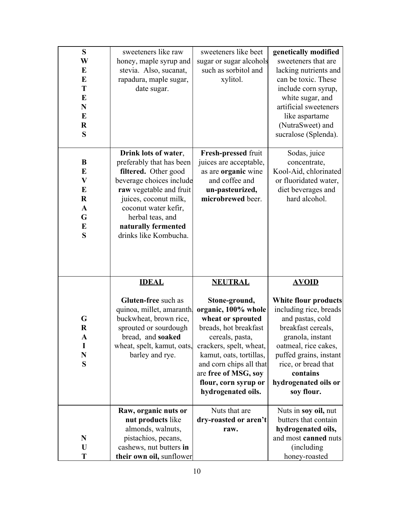| S<br>W              | sweeteners like raw<br>honey, maple syrup and       | sweeteners like beet<br>sugar or sugar alcohols | genetically modified<br>sweeteners that are    |
|---------------------|-----------------------------------------------------|-------------------------------------------------|------------------------------------------------|
| $\bf{E}$            | stevia. Also, sucanat,                              | such as sorbitol and                            | lacking nutrients and                          |
| E                   | rapadura, maple sugar,                              | xylitol.                                        | can be toxic. These                            |
| T                   | date sugar.                                         |                                                 | include corn syrup,                            |
| E                   |                                                     |                                                 | white sugar, and                               |
| N                   |                                                     |                                                 | artificial sweeteners                          |
| E                   |                                                     |                                                 | like aspartame                                 |
| $\bf R$             |                                                     |                                                 | (NutraSweet) and                               |
| S                   |                                                     |                                                 | sucralose (Splenda).                           |
|                     |                                                     |                                                 |                                                |
|                     | Drink lots of water,                                | Fresh-pressed fruit                             | Sodas, juice                                   |
| B                   | preferably that has been                            | juices are acceptable,                          | concentrate,                                   |
| E                   | filtered. Other good                                | as are organic wine                             | Kool-Aid, chlorinated                          |
| $\mathbf{V}$        | beverage choices include                            | and coffee and                                  | or fluoridated water,                          |
| $\bf{E}$<br>$\bf R$ | raw vegetable and fruit<br>juices, coconut milk,    | un-pasteurized,<br>microbrewed beer.            | diet beverages and<br>hard alcohol.            |
| $\mathbf A$         | coconut water kefir,                                |                                                 |                                                |
| G                   | herbal teas, and                                    |                                                 |                                                |
| E                   | naturally fermented                                 |                                                 |                                                |
| S                   | drinks like Kombucha.                               |                                                 |                                                |
|                     |                                                     |                                                 |                                                |
|                     |                                                     |                                                 |                                                |
|                     | <b>IDEAL</b>                                        | <b>NEUTRAL</b>                                  | <b>AVOID</b>                                   |
|                     | Gluten-free such as<br>quinoa, millet, amaranth,    | Stone-ground,<br>organic, 100% whole            | White flour products<br>including rice, breads |
| G                   | buckwheat, brown rice,                              | wheat or sprouted                               | and pastas, cold                               |
| $\mathbf R$         | sprouted or sourdough                               | breads, hot breakfast                           | breakfast cereals,                             |
| A                   | bread, and <b>soaked</b>                            | cereals, pasta,                                 | granola, instant                               |
| I                   | wheat, spelt, kamut, oats,                          | crackers, spelt, wheat,                         | oatmeal, rice cakes,                           |
| N                   | barley and rye.                                     | kamut, oats, tortillas,                         | puffed grains, instant                         |
| S                   |                                                     | and corn chips all that                         | rice, or bread that                            |
|                     |                                                     | are free of MSG, soy                            | contains                                       |
|                     |                                                     | flour, corn syrup or                            | hydrogenated oils or                           |
|                     |                                                     | hydrogenated oils.                              | soy flour.                                     |
|                     | Raw, organic nuts or                                | Nuts that are                                   | Nuts in soy oil, nut                           |
|                     | nut products like                                   | dry-roasted or aren't                           | butters that contain                           |
|                     | almonds, walnuts,                                   | raw.                                            | hydrogenated oils,                             |
| N                   | pistachios, pecans,                                 |                                                 | and most canned nuts                           |
| U<br>T              | cashews, nut butters in<br>their own oil, sunflower |                                                 | (including)<br>honey-roasted                   |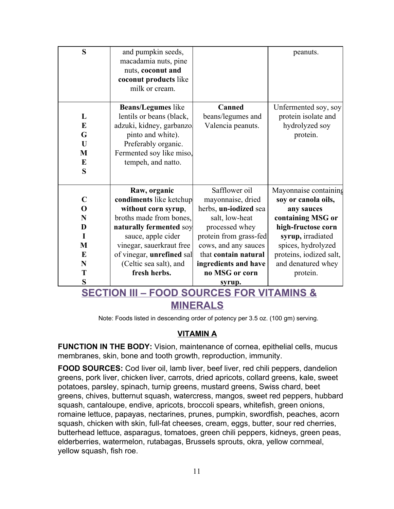| S            | and pumpkin seeds,        |                        | peanuts.                |
|--------------|---------------------------|------------------------|-------------------------|
|              | macadamia nuts, pine      |                        |                         |
|              | nuts, coconut and         |                        |                         |
|              | coconut products like     |                        |                         |
|              | milk or cream.            |                        |                         |
|              | <b>Beans/Legumes</b> like | Canned                 | Unfermented soy, soy    |
| L            | lentils or beans (black,  | beans/legumes and      | protein isolate and     |
| E            | adzuki, kidney, garbanzo. | Valencia peanuts.      | hydrolyzed soy          |
| G            | pinto and white).         |                        | protein.                |
| $\mathbf{U}$ | Preferably organic.       |                        |                         |
| M            | Fermented soy like miso,  |                        |                         |
| E            | tempeh, and natto.        |                        |                         |
| S            |                           |                        |                         |
|              |                           |                        |                         |
|              | Raw, organic              | Safflower oil          | Mayonnaise containing   |
| $\mathbf C$  | condiments like ketchup   | mayonnaise, dried      | soy or canola oils,     |
| $\mathbf 0$  | without corn syrup,       | herbs, un-iodized sea  | any sauces              |
| N            | broths made from bones,   | salt, low-heat         | containing MSG or       |
| D            | naturally fermented soy   | processed whey         | high-fructose corn      |
| $\mathbf I$  | sauce, apple cider        | protein from grass-fed | syrup, irradiated       |
| M            | vinegar, sauerkraut free  | cows, and any sauces   | spices, hydrolyzed      |
| E            | of vinegar, unrefined sal | that contain natural   | proteins, iodized salt, |
| N            | (Celtic sea salt), and    | ingredients and have   | and denatured whey      |
| T            | fresh herbs.              | no MSG or corn         | protein.                |
| S            |                           | syrup.                 |                         |

# **SECTION III – FOOD SOURCES FOR VITAMINS & MINERALS**

Note: Foods listed in descending order of potency per 3.5 oz. (100 gm) serving.

# **VITAMIN A**

**FUNCTION IN THE BODY:** Vision, maintenance of cornea, epithelial cells, mucus membranes, skin, bone and tooth growth, reproduction, immunity.

**FOOD SOURCES:** Cod liver oil, lamb liver, beef liver, red chili peppers, dandelion greens, pork liver, chicken liver, carrots, dried apricots, collard greens, kale, sweet potatoes, parsley, spinach, turnip greens, mustard greens, Swiss chard, beet greens, chives, butternut squash, watercress, mangos, sweet red peppers, hubbard squash, cantaloupe, endive, apricots, broccoli spears, whitefish, green onions, romaine lettuce, papayas, nectarines, prunes, pumpkin, swordfish, peaches, acorn squash, chicken with skin, full-fat cheeses, cream, eggs, butter, sour red cherries, butterhead lettuce, asparagus, tomatoes, green chili peppers, kidneys, green peas, elderberries, watermelon, rutabagas, Brussels sprouts, okra, yellow cornmeal, yellow squash, fish roe.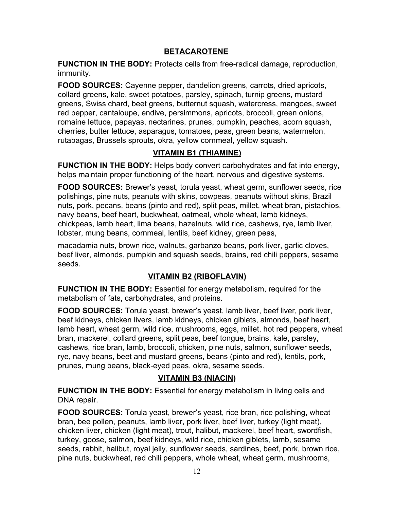# **BETACAROTENE**

**FUNCTION IN THE BODY:** Protects cells from free-radical damage, reproduction, immunity.

**FOOD SOURCES:** Cayenne pepper, dandelion greens, carrots, dried apricots, collard greens, kale, sweet potatoes, parsley, spinach, turnip greens, mustard greens, Swiss chard, beet greens, butternut squash, watercress, mangoes, sweet red pepper, cantaloupe, endive, persimmons, apricots, broccoli, green onions, romaine lettuce, papayas, nectarines, prunes, pumpkin, peaches, acorn squash, cherries, butter lettuce, asparagus, tomatoes, peas, green beans, watermelon, rutabagas, Brussels sprouts, okra, yellow cornmeal, yellow squash.

# **VITAMIN B1 (THIAMINE)**

**FUNCTION IN THE BODY:** Helps body convert carbohydrates and fat into energy, helps maintain proper functioning of the heart, nervous and digestive systems.

**FOOD SOURCES:** Brewer's yeast, torula yeast, wheat germ, sunflower seeds, rice polishings, pine nuts, peanuts with skins, cowpeas, peanuts without skins, Brazil nuts, pork, pecans, beans (pinto and red), split peas, millet, wheat bran, pistachios, navy beans, beef heart, buckwheat, oatmeal, whole wheat, lamb kidneys, chickpeas, lamb heart, lima beans, hazelnuts, wild rice, cashews, rye, lamb liver, lobster, mung beans, cornmeal, lentils, beef kidney, green peas,

macadamia nuts, brown rice, walnuts, garbanzo beans, pork liver, garlic cloves, beef liver, almonds, pumpkin and squash seeds, brains, red chili peppers, sesame seeds.

# **VITAMIN B2 (RIBOFLAVIN)**

**FUNCTION IN THE BODY:** Essential for energy metabolism, required for the metabolism of fats, carbohydrates, and proteins.

**FOOD SOURCES:** Torula yeast, brewer's yeast, lamb liver, beef liver, pork liver, beef kidneys, chicken livers, lamb kidneys, chicken giblets, almonds, beef heart, lamb heart, wheat germ, wild rice, mushrooms, eggs, millet, hot red peppers, wheat bran, mackerel, collard greens, split peas, beef tongue, brains, kale, parsley, cashews, rice bran, lamb, broccoli, chicken, pine nuts, salmon, sunflower seeds, rye, navy beans, beet and mustard greens, beans (pinto and red), lentils, pork, prunes, mung beans, black-eyed peas, okra, sesame seeds.

# **VITAMIN B3 (NIACIN)**

**FUNCTION IN THE BODY:** Essential for energy metabolism in living cells and DNA repair.

**FOOD SOURCES:** Torula yeast, brewer's yeast, rice bran, rice polishing, wheat bran, bee pollen, peanuts, lamb liver, pork liver, beef liver, turkey (light meat), chicken liver, chicken (light meat), trout, halibut, mackerel, beef heart, swordfish, turkey, goose, salmon, beef kidneys, wild rice, chicken giblets, lamb, sesame seeds, rabbit, halibut, royal jelly, sunflower seeds, sardines, beef, pork, brown rice, pine nuts, buckwheat, red chili peppers, whole wheat, wheat germ, mushrooms,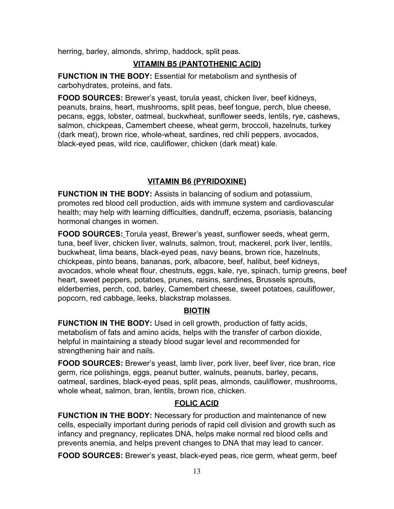herring, barley, almonds, shrimp, haddock, split peas.

# **VITAMIN B5 (PANTOTHENIC ACID)**

**FUNCTION IN THE BODY:** Essential for metabolism and synthesis of carbohydrates, proteins, and fats.

**FOOD SOURCES:** Brewer's yeast, torula yeast, chicken liver, beef kidneys, peanuts, brains, heart, mushrooms, split peas, beef tongue, perch, blue cheese, pecans, eggs, lobster, oatmeal, buckwheat, sunflower seeds, lentils, rye, cashews, salmon, chickpeas, Camembert cheese, wheat germ, broccoli, hazelnuts, turkey (dark meat), brown rice, whole-wheat, sardines, red chili peppers, avocados, black-eyed peas, wild rice, cauliflower, chicken (dark meat) kale.

# **VITAMIN B6 (PYRIDOXINE)**

**FUNCTION IN THE BODY:** Assists in balancing of sodium and potassium, promotes red blood cell production, aids with immune system and cardiovascular health; may help with learning difficulties, dandruff, eczema, psoriasis, balancing hormonal changes in women.

**FOOD SOURCES:** Torula yeast, Brewer's yeast, sunflower seeds, wheat germ, tuna, beef liver, chicken liver, walnuts, salmon, trout, mackerel, pork liver, lentils, buckwheat, lima beans, black-eyed peas, navy beans, brown rice, hazelnuts, chickpeas, pinto beans, bananas, pork, albacore, beef, halibut, beef kidneys, avocados, whole wheat flour, chestnuts, eggs, kale, rye, spinach, turnip greens, beef heart, sweet peppers, potatoes, prunes, raisins, sardines, Brussels sprouts, elderberries, perch, cod, barley, Camembert cheese, sweet potatoes, cauliflower, popcorn, red cabbage, leeks, blackstrap molasses.

# **BIOTIN**

**FUNCTION IN THE BODY:** Used in cell growth, production of fatty acids, metabolism of fats and amino acids, helps with the transfer of carbon dioxide, helpful in maintaining a steady blood sugar level and recommended for strengthening hair and nails.

**FOOD SOURCES:** Brewer's yeast, lamb liver, pork liver, beef liver, rice bran, rice germ, rice polishings, eggs, peanut butter, walnuts, peanuts, barley, pecans, oatmeal, sardines, black-eyed peas, split peas, almonds, cauliflower, mushrooms, whole wheat, salmon, bran, lentils, brown rice, chicken.

# **FOLIC ACID**

**FUNCTION IN THE BODY:** Necessary for production and maintenance of new cells, especially important during periods of rapid cell division and growth such as infancy and pregnancy, replicates DNA, helps make normal red blood cells and prevents anemia, and helps prevent changes to DNA that may lead to cancer.

**FOOD SOURCES:** Brewer's yeast, black-eyed peas, rice germ, wheat germ, beef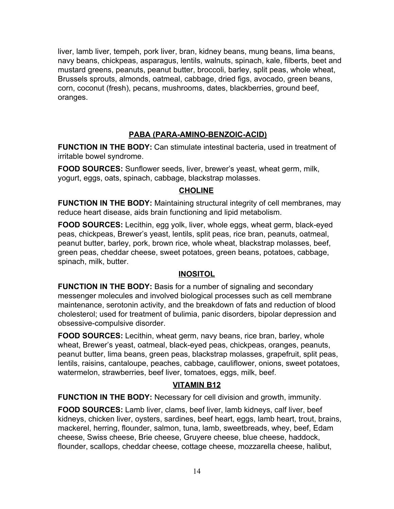liver, lamb liver, tempeh, pork liver, bran, kidney beans, mung beans, lima beans, navy beans, chickpeas, asparagus, lentils, walnuts, spinach, kale, filberts, beet and mustard greens, peanuts, peanut butter, broccoli, barley, split peas, whole wheat, Brussels sprouts, almonds, oatmeal, cabbage, dried figs, avocado, green beans, corn, coconut (fresh), pecans, mushrooms, dates, blackberries, ground beef, oranges.

# **PABA (PARA-AMINO-BENZOIC-ACID)**

**FUNCTION IN THE BODY:** Can stimulate intestinal bacteria, used in treatment of irritable bowel syndrome.

**FOOD SOURCES:** Sunflower seeds, liver, brewer's yeast, wheat germ, milk, yogurt, eggs, oats, spinach, cabbage, blackstrap molasses.

# **CHOLINE**

**FUNCTION IN THE BODY:** Maintaining structural integrity of cell membranes, may reduce heart disease, aids brain functioning and lipid metabolism.

**FOOD SOURCES:** Lecithin, egg yolk, liver, whole eggs, wheat germ, black-eyed peas, chickpeas, Brewer's yeast, lentils, split peas, rice bran, peanuts, oatmeal, peanut butter, barley, pork, brown rice, whole wheat, blackstrap molasses, beef, green peas, cheddar cheese, sweet potatoes, green beans, potatoes, cabbage, spinach, milk, butter.

# **INOSITOL**

**FUNCTION IN THE BODY:** Basis for a number of signaling and secondary messenger molecules and involved biological processes such as cell membrane maintenance, serotonin activity, and the breakdown of fats and reduction of blood cholesterol; used for treatment of bulimia, panic disorders, bipolar depression and obsessive-compulsive disorder.

**FOOD SOURCES:** Lecithin, wheat germ, navy beans, rice bran, barley, whole wheat, Brewer's yeast, oatmeal, black-eyed peas, chickpeas, oranges, peanuts, peanut butter, lima beans, green peas, blackstrap molasses, grapefruit, split peas, lentils, raisins, cantaloupe, peaches, cabbage, cauliflower, onions, sweet potatoes, watermelon, strawberries, beef liver, tomatoes, eggs, milk, beef.

# **VITAMIN B12**

**FUNCTION IN THE BODY:** Necessary for cell division and growth, immunity.

**FOOD SOURCES:** Lamb liver, clams, beef liver, lamb kidneys, calf liver, beef kidneys, chicken liver, oysters, sardines, beef heart, eggs, lamb heart, trout, brains, mackerel, herring, flounder, salmon, tuna, lamb, sweetbreads, whey, beef, Edam cheese, Swiss cheese, Brie cheese, Gruyere cheese, blue cheese, haddock, flounder, scallops, cheddar cheese, cottage cheese, mozzarella cheese, halibut,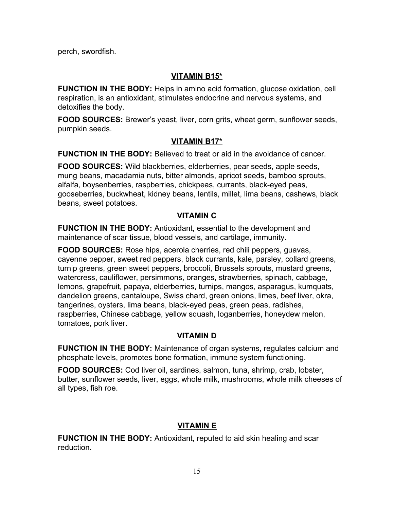perch, swordfish.

### **VITAMIN B15\***

**FUNCTION IN THE BODY:** Helps in amino acid formation, glucose oxidation, cell respiration, is an antioxidant, stimulates endocrine and nervous systems, and detoxifies the body.

**FOOD SOURCES:** Brewer's yeast, liver, corn grits, wheat germ, sunflower seeds, pumpkin seeds.

# **VITAMIN B17\***

**FUNCTION IN THE BODY:** Believed to treat or aid in the avoidance of cancer.

**FOOD SOURCES:** Wild blackberries, elderberries, pear seeds, apple seeds, mung beans, macadamia nuts, bitter almonds, apricot seeds, bamboo sprouts, alfalfa, boysenberries, raspberries, chickpeas, currants, black-eyed peas, gooseberries, buckwheat, kidney beans, lentils, millet, lima beans, cashews, black beans, sweet potatoes.

# **VITAMIN C**

**FUNCTION IN THE BODY:** Antioxidant, essential to the development and maintenance of scar tissue, blood vessels, and cartilage, immunity.

**FOOD SOURCES:** Rose hips, acerola cherries, red chili peppers, guavas, cayenne pepper, sweet red peppers, black currants, kale, parsley, collard greens, turnip greens, green sweet peppers, broccoli, Brussels sprouts, mustard greens, watercress, cauliflower, persimmons, oranges, strawberries, spinach, cabbage, lemons, grapefruit, papaya, elderberries, turnips, mangos, asparagus, kumquats, dandelion greens, cantaloupe, Swiss chard, green onions, limes, beef liver, okra, tangerines, oysters, lima beans, black-eyed peas, green peas, radishes, raspberries, Chinese cabbage, yellow squash, loganberries, honeydew melon, tomatoes, pork liver.

# **VITAMIN D**

**FUNCTION IN THE BODY:** Maintenance of organ systems, regulates calcium and phosphate levels, promotes bone formation, immune system functioning.

**FOOD SOURCES:** Cod liver oil, sardines, salmon, tuna, shrimp, crab, lobster, butter, sunflower seeds, liver, eggs, whole milk, mushrooms, whole milk cheeses of all types, fish roe.

# **VITAMIN E**

**FUNCTION IN THE BODY:** Antioxidant, reputed to aid skin healing and scar reduction.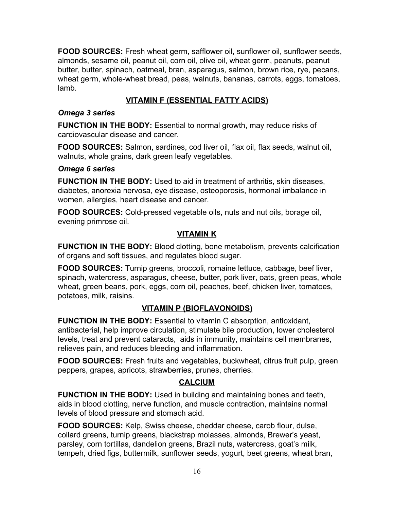**FOOD SOURCES:** Fresh wheat germ, safflower oil, sunflower oil, sunflower seeds, almonds, sesame oil, peanut oil, corn oil, olive oil, wheat germ, peanuts, peanut butter, butter, spinach, oatmeal, bran, asparagus, salmon, brown rice, rye, pecans, wheat germ, whole-wheat bread, peas, walnuts, bananas, carrots, eggs, tomatoes, lamb.

# **VITAMIN F (ESSENTIAL FATTY ACIDS)**

# *Omega 3 series*

**FUNCTION IN THE BODY:** Essential to normal growth, may reduce risks of cardiovascular disease and cancer.

**FOOD SOURCES:** Salmon, sardines, cod liver oil, flax oil, flax seeds, walnut oil, walnuts, whole grains, dark green leafy vegetables.

# *Omega 6 series*

**FUNCTION IN THE BODY:** Used to aid in treatment of arthritis, skin diseases, diabetes, anorexia nervosa, eye disease, osteoporosis, hormonal imbalance in women, allergies, heart disease and cancer.

**FOOD SOURCES:** Cold-pressed vegetable oils, nuts and nut oils, borage oil, evening primrose oil.

# **VITAMIN K**

**FUNCTION IN THE BODY:** Blood clotting, bone metabolism, prevents calcification of organs and soft tissues, and regulates blood sugar.

**FOOD SOURCES:** Turnip greens, broccoli, romaine lettuce, cabbage, beef liver, spinach, watercress, asparagus, cheese, butter, pork liver, oats, green peas, whole wheat, green beans, pork, eggs, corn oil, peaches, beef, chicken liver, tomatoes, potatoes, milk, raisins.

# **VITAMIN P (BIOFLAVONOIDS)**

**FUNCTION IN THE BODY:** Essential to vitamin C absorption, antioxidant, antibacterial, help improve circulation, stimulate bile production, lower cholesterol levels, treat and prevent cataracts, aids in immunity, maintains cell membranes, relieves pain, and reduces bleeding and inflammation.

**FOOD SOURCES:** Fresh fruits and vegetables, buckwheat, citrus fruit pulp, green peppers, grapes, apricots, strawberries, prunes, cherries.

# **CALCIUM**

**FUNCTION IN THE BODY:** Used in building and maintaining bones and teeth, aids in blood clotting, nerve function, and muscle contraction, maintains normal levels of blood pressure and stomach acid.

**FOOD SOURCES:** Kelp, Swiss cheese, cheddar cheese, carob flour, dulse, collard greens, turnip greens, blackstrap molasses, almonds, Brewer's yeast, parsley, corn tortillas, dandelion greens, Brazil nuts, watercress, goat's milk, tempeh, dried figs, buttermilk, sunflower seeds, yogurt, beet greens, wheat bran,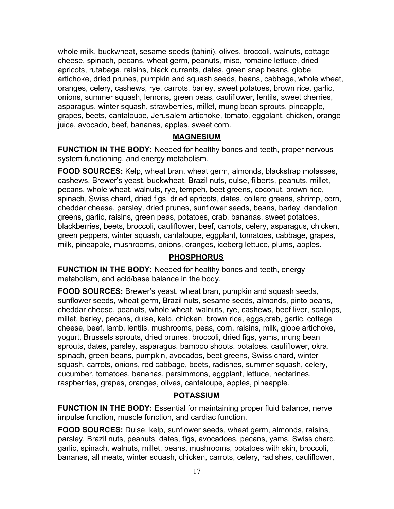whole milk, buckwheat, sesame seeds (tahini), olives, broccoli, walnuts, cottage cheese, spinach, pecans, wheat germ, peanuts, miso, romaine lettuce, dried apricots, rutabaga, raisins, black currants, dates, green snap beans, globe artichoke, dried prunes, pumpkin and squash seeds, beans, cabbage, whole wheat, oranges, celery, cashews, rye, carrots, barley, sweet potatoes, brown rice, garlic, onions, summer squash, lemons, green peas, cauliflower, lentils, sweet cherries, asparagus, winter squash, strawberries, millet, mung bean sprouts, pineapple, grapes, beets, cantaloupe, Jerusalem artichoke, tomato, eggplant, chicken, orange juice, avocado, beef, bananas, apples, sweet corn.

#### **MAGNESIUM**

**FUNCTION IN THE BODY:** Needed for healthy bones and teeth, proper nervous system functioning, and energy metabolism.

**FOOD SOURCES:** Kelp, wheat bran, wheat germ, almonds, blackstrap molasses, cashews, Brewer's yeast, buckwheat, Brazil nuts, dulse, filberts, peanuts, millet, pecans, whole wheat, walnuts, rye, tempeh, beet greens, coconut, brown rice, spinach, Swiss chard, dried figs, dried apricots, dates, collard greens, shrimp, corn, cheddar cheese, parsley, dried prunes, sunflower seeds, beans, barley, dandelion greens, garlic, raisins, green peas, potatoes, crab, bananas, sweet potatoes, blackberries, beets, broccoli, cauliflower, beef, carrots, celery, asparagus, chicken, green peppers, winter squash, cantaloupe, eggplant, tomatoes, cabbage, grapes, milk, pineapple, mushrooms, onions, oranges, iceberg lettuce, plums, apples.

# **PHOSPHORUS**

**FUNCTION IN THE BODY:** Needed for healthy bones and teeth, energy metabolism, and acid/base balance in the body.

**FOOD SOURCES:** Brewer's yeast, wheat bran, pumpkin and squash seeds, sunflower seeds, wheat germ, Brazil nuts, sesame seeds, almonds, pinto beans, cheddar cheese, peanuts, whole wheat, walnuts, rye, cashews, beef liver, scallops, millet, barley, pecans, dulse, kelp, chicken, brown rice, eggs,crab, garlic, cottage cheese, beef, lamb, lentils, mushrooms, peas, corn, raisins, milk, globe artichoke, yogurt, Brussels sprouts, dried prunes, broccoli, dried figs, yams, mung bean sprouts, dates, parsley, asparagus, bamboo shoots, potatoes, cauliflower, okra, spinach, green beans, pumpkin, avocados, beet greens, Swiss chard, winter squash, carrots, onions, red cabbage, beets, radishes, summer squash, celery, cucumber, tomatoes, bananas, persimmons, eggplant, lettuce, nectarines, raspberries, grapes, oranges, olives, cantaloupe, apples, pineapple.

# **POTASSIUM**

**FUNCTION IN THE BODY:** Essential for maintaining proper fluid balance, nerve impulse function, muscle function, and cardiac function.

**FOOD SOURCES:** Dulse, kelp, sunflower seeds, wheat germ, almonds, raisins, parsley, Brazil nuts, peanuts, dates, figs, avocadoes, pecans, yams, Swiss chard, garlic, spinach, walnuts, millet, beans, mushrooms, potatoes with skin, broccoli, bananas, all meats, winter squash, chicken, carrots, celery, radishes, cauliflower,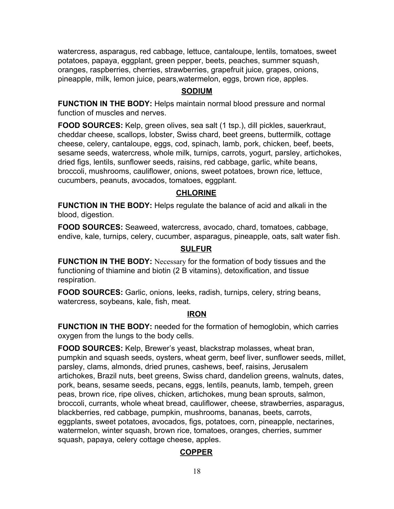watercress, asparagus, red cabbage, lettuce, cantaloupe, lentils, tomatoes, sweet potatoes, papaya, eggplant, green pepper, beets, peaches, summer squash, oranges, raspberries, cherries, strawberries, grapefruit juice, grapes, onions, pineapple, milk, lemon juice, pears,watermelon, eggs, brown rice, apples.

# **SODIUM**

**FUNCTION IN THE BODY:** Helps maintain normal blood pressure and normal function of muscles and nerves.

**FOOD SOURCES:** Kelp, green olives, sea salt (1 tsp.), dill pickles, sauerkraut, cheddar cheese, scallops, lobster, Swiss chard, beet greens, buttermilk, cottage cheese, celery, cantaloupe, eggs, cod, spinach, lamb, pork, chicken, beef, beets, sesame seeds, watercress, whole milk, turnips, carrots, yogurt, parsley, artichokes, dried figs, lentils, sunflower seeds, raisins, red cabbage, garlic, white beans, broccoli, mushrooms, cauliflower, onions, sweet potatoes, brown rice, lettuce, cucumbers, peanuts, avocados, tomatoes, eggplant.

# **CHLORINE**

**FUNCTION IN THE BODY:** Helps regulate the balance of acid and alkali in the blood, digestion.

**FOOD SOURCES:** Seaweed, watercress, avocado, chard, tomatoes, cabbage, endive, kale, turnips, celery, cucumber, asparagus, pineapple, oats, salt water fish.

# **SULFUR**

**FUNCTION IN THE BODY:** Necessary for the formation of body tissues and the functioning of thiamine and biotin (2 B vitamins), detoxification, and tissue respiration.

**FOOD SOURCES:** Garlic, onions, leeks, radish, turnips, celery, string beans, watercress, soybeans, kale, fish, meat.

#### **IRON**

**FUNCTION IN THE BODY:** needed for the formation of hemoglobin, which carries oxygen from the lungs to the body cells.

**FOOD SOURCES:** Kelp, Brewer's yeast, blackstrap molasses, wheat bran, pumpkin and squash seeds, oysters, wheat germ, beef liver, sunflower seeds, millet, parsley, clams, almonds, dried prunes, cashews, beef, raisins, Jerusalem artichokes, Brazil nuts, beet greens, Swiss chard, dandelion greens, walnuts, dates, pork, beans, sesame seeds, pecans, eggs, lentils, peanuts, lamb, tempeh, green peas, brown rice, ripe olives, chicken, artichokes, mung bean sprouts, salmon, broccoli, currants, whole wheat bread, cauliflower, cheese, strawberries, asparagus, blackberries, red cabbage, pumpkin, mushrooms, bananas, beets, carrots, eggplants, sweet potatoes, avocados, figs, potatoes, corn, pineapple, nectarines, watermelon, winter squash, brown rice, tomatoes, oranges, cherries, summer squash, papaya, celery cottage cheese, apples.

# **COPPER**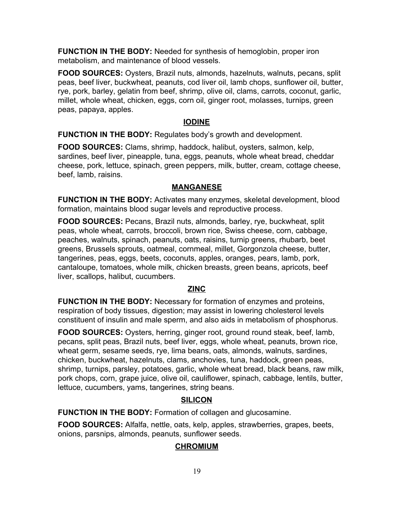**FUNCTION IN THE BODY:** Needed for synthesis of hemoglobin, proper iron metabolism, and maintenance of blood vessels.

**FOOD SOURCES:** Oysters, Brazil nuts, almonds, hazelnuts, walnuts, pecans, split peas, beef liver, buckwheat, peanuts, cod liver oil, lamb chops, sunflower oil, butter, rye, pork, barley, gelatin from beef, shrimp, olive oil, clams, carrots, coconut, garlic, millet, whole wheat, chicken, eggs, corn oil, ginger root, molasses, turnips, green peas, papaya, apples.

# **IODINE**

**FUNCTION IN THE BODY:** Regulates body's growth and development.

**FOOD SOURCES:** Clams, shrimp, haddock, halibut, oysters, salmon, kelp, sardines, beef liver, pineapple, tuna, eggs, peanuts, whole wheat bread, cheddar cheese, pork, lettuce, spinach, green peppers, milk, butter, cream, cottage cheese, beef, lamb, raisins.

# **MANGANESE**

**FUNCTION IN THE BODY:** Activates many enzymes, skeletal development, blood formation, maintains blood sugar levels and reproductive process.

**FOOD SOURCES:** Pecans, Brazil nuts, almonds, barley, rye, buckwheat, split peas, whole wheat, carrots, broccoli, brown rice, Swiss cheese, corn, cabbage, peaches, walnuts, spinach, peanuts, oats, raisins, turnip greens, rhubarb, beet greens, Brussels sprouts, oatmeal, cornmeal, millet, Gorgonzola cheese, butter, tangerines, peas, eggs, beets, coconuts, apples, oranges, pears, lamb, pork, cantaloupe, tomatoes, whole milk, chicken breasts, green beans, apricots, beef liver, scallops, halibut, cucumbers.

# **ZINC**

**FUNCTION IN THE BODY:** Necessary for formation of enzymes and proteins, respiration of body tissues, digestion; may assist in lowering cholesterol levels constituent of insulin and male sperm, and also aids in metabolism of phosphorus.

**FOOD SOURCES:** Oysters, herring, ginger root, ground round steak, beef, lamb, pecans, split peas, Brazil nuts, beef liver, eggs, whole wheat, peanuts, brown rice, wheat germ, sesame seeds, rye, lima beans, oats, almonds, walnuts, sardines, chicken, buckwheat, hazelnuts, clams, anchovies, tuna, haddock, green peas, shrimp, turnips, parsley, potatoes, garlic, whole wheat bread, black beans, raw milk, pork chops, corn, grape juice, olive oil, cauliflower, spinach, cabbage, lentils, butter, lettuce, cucumbers, yams, tangerines, string beans.

# **SILICON**

**FUNCTION IN THE BODY:** Formation of collagen and glucosamine.

**FOOD SOURCES:** Alfalfa, nettle, oats, kelp, apples, strawberries, grapes, beets, onions, parsnips, almonds, peanuts, sunflower seeds.

# **CHROMIUM**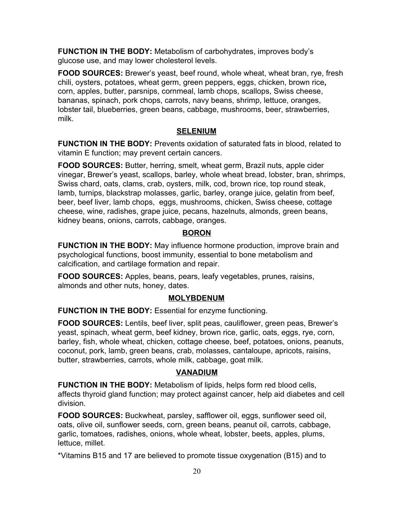**FUNCTION IN THE BODY:** Metabolism of carbohydrates, improves body's glucose use, and may lower cholesterol levels.

**FOOD SOURCES:** Brewer's yeast, beef round, whole wheat, wheat bran, rye, fresh chili, oysters, potatoes, wheat germ, green peppers, eggs, chicken, brown rice**,** corn, apples, butter, parsnips, cornmeal, lamb chops, scallops, Swiss cheese, bananas, spinach, pork chops, carrots, navy beans, shrimp, lettuce, oranges, lobster tail, blueberries, green beans, cabbage, mushrooms, beer, strawberries, milk.

# **SELENIUM**

**FUNCTION IN THE BODY:** Prevents oxidation of saturated fats in blood, related to vitamin E function; may prevent certain cancers.

**FOOD SOURCES:** Butter, herring, smelt, wheat germ, Brazil nuts, apple cider vinegar, Brewer's yeast, scallops, barley, whole wheat bread, lobster, bran, shrimps, Swiss chard, oats, clams, crab, oysters, milk, cod, brown rice, top round steak, lamb, turnips, blackstrap molasses, garlic, barley, orange juice, gelatin from beef, beer, beef liver, lamb chops, eggs, mushrooms, chicken, Swiss cheese, cottage cheese, wine, radishes, grape juice, pecans, hazelnuts, almonds, green beans, kidney beans, onions, carrots, cabbage, oranges.

# **BORON**

**FUNCTION IN THE BODY:** May influence hormone production, improve brain and psychological functions, boost immunity, essential to bone metabolism and calcification, and cartilage formation and repair.

**FOOD SOURCES:** Apples, beans, pears, leafy vegetables, prunes, raisins, almonds and other nuts, honey, dates.

# **MOLYBDENUM**

**FUNCTION IN THE BODY:** Essential for enzyme functioning.

**FOOD SOURCES:** Lentils, beef liver, split peas, cauliflower, green peas, Brewer's yeast, spinach, wheat germ, beef kidney, brown rice, garlic, oats, eggs, rye, corn, barley, fish, whole wheat, chicken, cottage cheese, beef, potatoes, onions, peanuts, coconut, pork, lamb, green beans, crab, molasses, cantaloupe, apricots, raisins, butter, strawberries, carrots, whole milk, cabbage, goat milk.

# **VANADIUM**

**FUNCTION IN THE BODY:** Metabolism of lipids, helps form red blood cells, affects thyroid gland function; may protect against cancer, help aid diabetes and cell division.

**FOOD SOURCES:** Buckwheat, parsley, safflower oil, eggs, sunflower seed oil, oats, olive oil, sunflower seeds, corn, green beans, peanut oil, carrots, cabbage, garlic, tomatoes, radishes, onions, whole wheat, lobster, beets, apples, plums, lettuce, millet.

\*Vitamins B15 and 17 are believed to promote tissue oxygenation (B15) and to